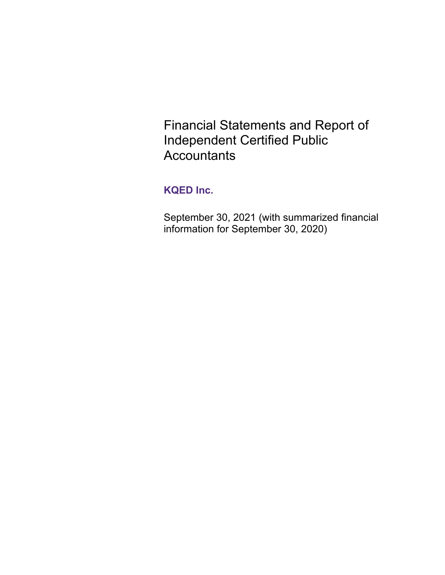Financial Statements and Report of Independent Certified Public **Accountants** 

# **KQED Inc.**

September 30, 2021 (with summarized financial information for September 30, 2020)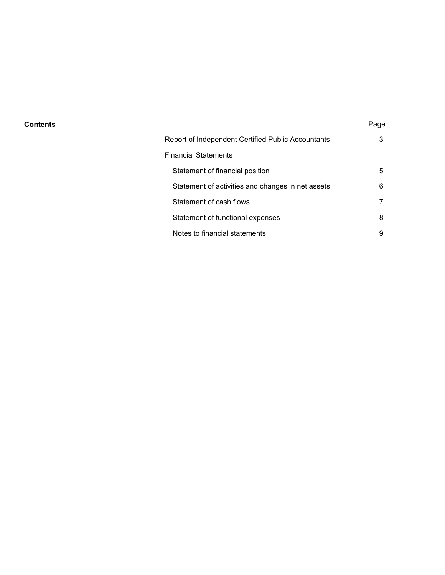#### **Contents** Page

| Report of Independent Certified Public Accountants | 3 |
|----------------------------------------------------|---|
| Financial Statements                               |   |
| Statement of financial position                    | 5 |
| Statement of activities and changes in net assets  | 6 |
| Statement of cash flows                            |   |
| Statement of functional expenses                   | 8 |
| Notes to financial statements                      | 9 |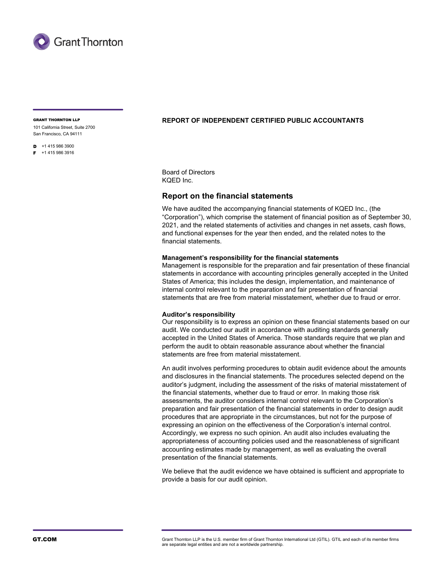

101 California Street, Suite 2700 San Francisco, CA 94111

 $\overline{D}$  +1 415 986 3900

 $F + 14159863916$ 

#### GRANT THORNTON LLP **REPORT OF INDEPENDENT CERTIFIED PUBLIC ACCOUNTANTS**

Board of Directors KQED Inc.

#### **Report on the financial statements**

We have audited the accompanying financial statements of KQED Inc., (the "Corporation"), which comprise the statement of financial position as of September 30, 2021, and the related statements of activities and changes in net assets, cash flows, and functional expenses for the year then ended, and the related notes to the financial statements.

#### **Management's responsibility for the financial statements**

Management is responsible for the preparation and fair presentation of these financial statements in accordance with accounting principles generally accepted in the United States of America; this includes the design, implementation, and maintenance of internal control relevant to the preparation and fair presentation of financial statements that are free from material misstatement, whether due to fraud or error.

#### **Auditor's responsibility**

Our responsibility is to express an opinion on these financial statements based on our audit. We conducted our audit in accordance with auditing standards generally accepted in the United States of America. Those standards require that we plan and perform the audit to obtain reasonable assurance about whether the financial statements are free from material misstatement.

An audit involves performing procedures to obtain audit evidence about the amounts and disclosures in the financial statements. The procedures selected depend on the auditor's judgment, including the assessment of the risks of material misstatement of the financial statements, whether due to fraud or error. In making those risk assessments, the auditor considers internal control relevant to the Corporation's preparation and fair presentation of the financial statements in order to design audit procedures that are appropriate in the circumstances, but not for the purpose of expressing an opinion on the effectiveness of the Corporation's internal control. Accordingly, we express no such opinion. An audit also includes evaluating the appropriateness of accounting policies used and the reasonableness of significant accounting estimates made by management, as well as evaluating the overall presentation of the financial statements.

We believe that the audit evidence we have obtained is sufficient and appropriate to provide a basis for our audit opinion.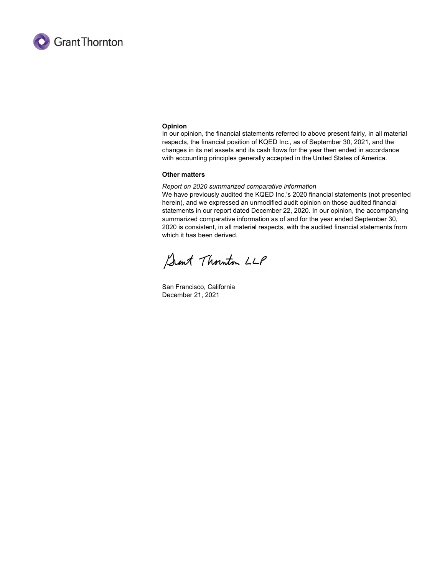

#### **Opinion**

In our opinion, the financial statements referred to above present fairly, in all material respects, the financial position of KQED Inc., as of September 30, 2021, and the changes in its net assets and its cash flows for the year then ended in accordance with accounting principles generally accepted in the United States of America.

#### **Other matters**

#### *Report on 2020 summarized comparative information*

We have previously audited the KQED Inc.'s 2020 financial statements (not presented herein), and we expressed an unmodified audit opinion on those audited financial statements in our report dated December 22, 2020. In our opinion, the accompanying summarized comparative information as of and for the year ended September 30, 2020 is consistent, in all material respects, with the audited financial statements from which it has been derived.

Sant Thouton LLP

San Francisco, California December 21, 2021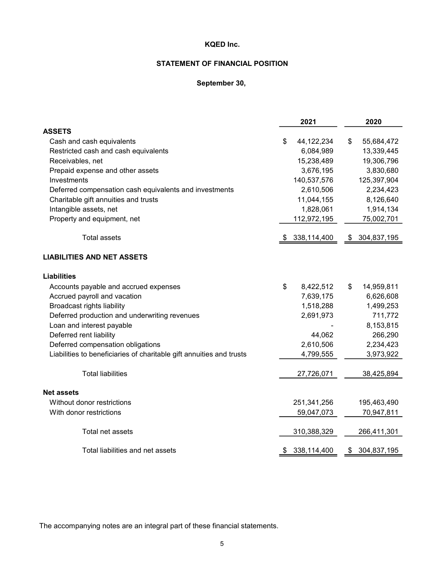# **STATEMENT OF FINANCIAL POSITION**

# **September 30,**

|                                                                      | 2021 | 2020        |                   |
|----------------------------------------------------------------------|------|-------------|-------------------|
| <b>ASSETS</b>                                                        |      |             |                   |
| Cash and cash equivalents                                            | \$   | 44,122,234  | \$<br>55,684,472  |
| Restricted cash and cash equivalents                                 |      | 6,084,989   | 13,339,445        |
| Receivables, net                                                     |      | 15,238,489  | 19,306,796        |
| Prepaid expense and other assets                                     |      | 3,676,195   | 3,830,680         |
| Investments                                                          |      | 140,537,576 | 125,397,904       |
| Deferred compensation cash equivalents and investments               |      | 2,610,506   | 2,234,423         |
| Charitable gift annuities and trusts                                 |      | 11,044,155  | 8,126,640         |
| Intangible assets, net                                               |      | 1,828,061   | 1,914,134         |
| Property and equipment, net                                          |      | 112,972,195 | 75,002,701        |
| <b>Total assets</b>                                                  | S    | 338,114,400 | \$<br>304,837,195 |
| <b>LIABILITIES AND NET ASSETS</b>                                    |      |             |                   |
| <b>Liabilities</b>                                                   |      |             |                   |
| Accounts payable and accrued expenses                                | \$   | 8,422,512   | \$<br>14,959,811  |
| Accrued payroll and vacation                                         |      | 7,639,175   | 6,626,608         |
| <b>Broadcast rights liability</b>                                    |      | 1,518,288   | 1,499,253         |
| Deferred production and underwriting revenues                        |      | 2,691,973   | 711,772           |
| Loan and interest payable                                            |      |             | 8,153,815         |
| Deferred rent liability                                              |      | 44,062      | 266,290           |
| Deferred compensation obligations                                    |      | 2,610,506   | 2,234,423         |
| Liabilities to beneficiaries of charitable gift annuities and trusts |      | 4,799,555   | 3,973,922         |
| <b>Total liabilities</b>                                             |      | 27,726,071  | 38,425,894        |
| <b>Net assets</b>                                                    |      |             |                   |
| Without donor restrictions                                           |      | 251,341,256 | 195,463,490       |
| With donor restrictions                                              |      | 59,047,073  | 70,947,811        |
| Total net assets                                                     |      | 310,388,329 | 266,411,301       |
| Total liabilities and net assets                                     | \$   | 338,114,400 | \$<br>304,837,195 |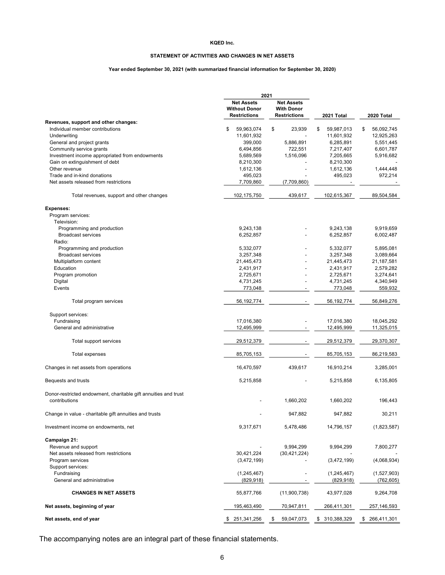#### **STATEMENT OF ACTIVITIES AND CHANGES IN NET ASSETS**

#### **Year ended September 30, 2021 (with summarized financial information for September 30, 2020)**

|                                                                 | 2021                                                             |                                                               |                        |                        |
|-----------------------------------------------------------------|------------------------------------------------------------------|---------------------------------------------------------------|------------------------|------------------------|
|                                                                 | <b>Net Assets</b><br><b>Without Donor</b><br><b>Restrictions</b> | <b>Net Assets</b><br><b>With Donor</b><br><b>Restrictions</b> | 2021 Total             | 2020 Total             |
| Revenues, support and other changes:                            |                                                                  |                                                               |                        |                        |
| Individual member contributions                                 | \$<br>59,963,074                                                 | \$<br>23.939                                                  | \$<br>59,987,013       | \$<br>56,092,745       |
| Underwriting                                                    | 11,601,932                                                       |                                                               | 11,601,932             | 12,925,263             |
| General and project grants                                      | 399,000                                                          | 5,886,891                                                     | 6,285,891              | 5,551,445              |
| Community service grants                                        | 6,494,856                                                        | 722,551                                                       | 7,217,407              | 6,601,787              |
| Investment income appropriated from endowments                  | 5,689,569                                                        | 1,516,096                                                     | 7,205,665              | 5,916,682              |
| Gain on extinguishment of debt                                  | 8,210,300                                                        |                                                               | 8,210,300              |                        |
| Other revenue                                                   | 1,612,136                                                        |                                                               | 1,612,136              | 1,444,448              |
| Trade and in-kind donations                                     | 495,023                                                          |                                                               | 495,023                | 972,214                |
| Net assets released from restrictions                           | 7,709,860                                                        | (7,709,860)                                                   |                        |                        |
| Total revenues, support and other changes                       | 102, 175, 750                                                    | 439,617                                                       | 102,615,367            | 89,504,584             |
| <b>Expenses:</b>                                                |                                                                  |                                                               |                        |                        |
| Program services:                                               |                                                                  |                                                               |                        |                        |
| Television:                                                     |                                                                  |                                                               |                        |                        |
| Programming and production                                      | 9,243,138                                                        |                                                               | 9,243,138              | 9,919,659              |
| <b>Broadcast services</b>                                       | 6,252,857                                                        |                                                               | 6,252,857              | 6,002,487              |
| Radio:                                                          |                                                                  |                                                               |                        |                        |
| Programming and production                                      | 5,332,077                                                        |                                                               | 5,332,077              | 5,895,081              |
| <b>Broadcast services</b>                                       | 3,257,348                                                        |                                                               | 3,257,348              | 3,089,664              |
| Multiplatform content                                           | 21,445,473                                                       |                                                               | 21,445,473             | 21,187,581             |
| Education                                                       | 2,431,917                                                        |                                                               | 2,431,917<br>2,725,671 | 2,579,282              |
| Program promotion<br>Digital                                    | 2,725,671<br>4,731,245                                           |                                                               | 4,731,245              | 3,274,641<br>4,340,949 |
| Events                                                          | 773,048                                                          |                                                               | 773,048                | 559,932                |
|                                                                 |                                                                  |                                                               |                        |                        |
| Total program services                                          | 56, 192, 774                                                     |                                                               | 56,192,774             | 56,849,276             |
| Support services:                                               |                                                                  |                                                               |                        |                        |
| Fundraising                                                     | 17,016,380                                                       |                                                               | 17,016,380             | 18,045,292             |
| General and administrative                                      | 12,495,999                                                       |                                                               | 12,495,999             | 11,325,015             |
| Total support services                                          | 29,512,379                                                       |                                                               | 29,512,379             | 29,370,307             |
| <b>Total expenses</b>                                           | 85,705,153                                                       |                                                               | 85,705,153             | 86,219,583             |
| Changes in net assets from operations                           | 16,470,597                                                       | 439,617                                                       | 16,910,214             | 3,285,001              |
| Bequests and trusts                                             | 5,215,858                                                        |                                                               | 5,215,858              | 6,135,805              |
| Donor-restricted endowment, charitable gift annuities and trust |                                                                  |                                                               |                        |                        |
| contributions                                                   |                                                                  | 1,660,202                                                     | 1,660,202              | 196,443                |
| Change in value - charitable gift annuities and trusts          |                                                                  | 947,882                                                       | 947,882                | 30,211                 |
| Investment income on endowments, net                            | 9,317,671                                                        | 5,478,486                                                     | 14,796,157             | (1,823,587)            |
| Campaign 21:                                                    |                                                                  |                                                               |                        |                        |
| Revenue and support                                             |                                                                  | 9,994,299                                                     | 9,994,299              | 7,800,277              |
| Net assets released from restrictions                           | 30,421,224                                                       | (30, 421, 224)                                                |                        |                        |
| Program services                                                | (3,472,199)                                                      |                                                               | (3,472,199)            | (4,068,934)            |
| Support services:                                               |                                                                  |                                                               |                        |                        |
| Fundraising                                                     | (1, 245, 467)                                                    |                                                               | (1, 245, 467)          | (1,527,903)            |
| General and administrative                                      | (829, 918)                                                       |                                                               | (829, 918)             | (762,605)              |
| <b>CHANGES IN NET ASSETS</b>                                    | 55,877,766                                                       | (11,900,738)                                                  | 43,977,028             | 9,264,708              |
| Net assets, beginning of year                                   | 195,463,490                                                      | 70,947,811                                                    | 266,411,301            | 257,146,593            |
| Net assets, end of year                                         | \$ 251,341,256                                                   | 59,047,073<br>S.                                              | \$ 310,388,329         | \$ 266,411,301         |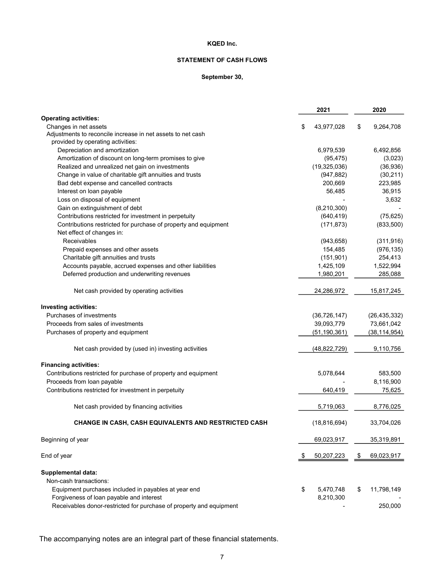## **STATEMENT OF CASH FLOWS**

#### **September 30,**

|                                                                     |    | 2021           | 2020             |
|---------------------------------------------------------------------|----|----------------|------------------|
| <b>Operating activities:</b>                                        |    |                |                  |
| Changes in net assets                                               | \$ | 43,977,028     | \$<br>9,264,708  |
| Adjustments to reconcile increase in net assets to net cash         |    |                |                  |
| provided by operating activities:                                   |    |                |                  |
| Depreciation and amortization                                       |    | 6,979,539      | 6,492,856        |
| Amortization of discount on long-term promises to give              |    | (95, 475)      | (3,023)          |
| Realized and unrealized net gain on investments                     |    | (19, 325, 036) | (36, 936)        |
| Change in value of charitable gift annuities and trusts             |    | (947, 882)     | (30, 211)        |
| Bad debt expense and cancelled contracts                            |    | 200,669        | 223,985          |
| Interest on loan payable                                            |    | 56,485         | 36,915           |
| Loss on disposal of equipment                                       |    |                | 3,632            |
| Gain on extinguishment of debt                                      |    | (8,210,300)    |                  |
| Contributions restricted for investment in perpetuity               |    | (640, 419)     | (75, 625)        |
| Contributions restricted for purchase of property and equipment     |    | (171, 873)     | (833,500)        |
| Net effect of changes in:                                           |    |                |                  |
| Receivables                                                         |    | (943, 658)     | (311, 916)       |
| Prepaid expenses and other assets                                   |    | 154,485        | (976, 135)       |
| Charitable gift annuities and trusts                                |    | (151, 901)     | 254,413          |
| Accounts payable, accrued expenses and other liabilities            |    | 1,425,109      | 1,522,994        |
| Deferred production and underwriting revenues                       |    | 1,980,201      | 285,088          |
| Net cash provided by operating activities                           |    | 24,286,972     | 15,817,245       |
| <b>Investing activities:</b>                                        |    |                |                  |
| Purchases of investments                                            |    | (36, 726, 147) | (26, 435, 332)   |
| Proceeds from sales of investments                                  |    | 39,093,779     | 73,661,042       |
| Purchases of property and equipment                                 |    | (51, 190, 361) | (38, 114, 954)   |
| Net cash provided by (used in) investing activities                 |    | (48, 822, 729) | 9,110,756        |
|                                                                     |    |                |                  |
| <b>Financing activities:</b>                                        |    |                |                  |
| Contributions restricted for purchase of property and equipment     |    | 5,078,644      | 583,500          |
| Proceeds from loan payable                                          |    |                | 8,116,900        |
| Contributions restricted for investment in perpetuity               |    | 640,419        | 75,625           |
| Net cash provided by financing activities                           |    | 5,719,063      | 8,776,025        |
| <b>CHANGE IN CASH, CASH EQUIVALENTS AND RESTRICTED CASH</b>         |    | (18, 816, 694) | 33,704,026       |
| Beginning of year                                                   |    | 69,023,917     | 35,319,891       |
| End of year                                                         | S. | 50,207,223     | \$<br>69,023,917 |
| <b>Supplemental data:</b>                                           |    |                |                  |
| Non-cash transactions:                                              |    |                |                  |
| Equipment purchases included in payables at year end                | \$ | 5,470,748      | \$<br>11,798,149 |
| Forgiveness of loan payable and interest                            |    | 8,210,300      |                  |
| Receivables donor-restricted for purchase of property and equipment |    |                | 250,000          |
|                                                                     |    |                |                  |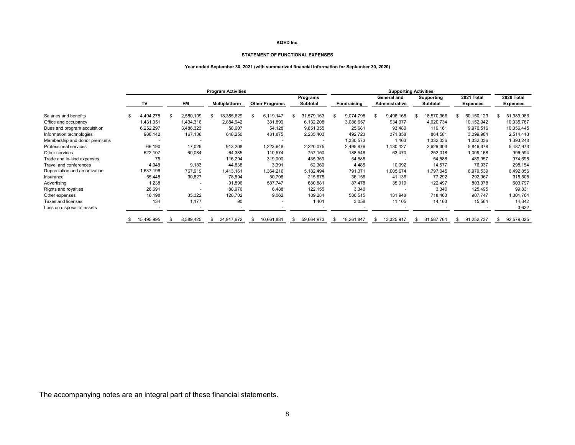#### **STATEMENT OF FUNCTIONAL EXPENSES**

#### **Year ended September 30, 2021 (with summarized financial information for September 30, 2020)**

|                               | <b>Program Activities</b> |    |           |   |                                               |    |            |                                |             |      | <b>Supporting Activities</b> |            |            |            |                 |            |                 |  |            |
|-------------------------------|---------------------------|----|-----------|---|-----------------------------------------------|----|------------|--------------------------------|-------------|------|------------------------------|------------|------------|------------|-----------------|------------|-----------------|--|------------|
|                               |                           |    |           |   | Programs                                      |    |            |                                | General and |      |                              | Supporting |            | 2021 Total |                 | 2020 Total |                 |  |            |
|                               | Т٧                        |    | <b>FM</b> |   | <b>Multiplatform</b><br><b>Other Programs</b> |    |            | Subtotal<br><b>Fundraising</b> |             |      | Administrative               |            | Subtotal   |            | <b>Expenses</b> |            | <b>Expenses</b> |  |            |
| Salaries and benefits         | \$<br>4,494,278           | \$ | 2,580,109 |   | 18,385,629                                    | \$ | 6,119,147  |                                | 31,579,163  | - \$ | 9,074,798                    | S          | 9,496,168  | \$         | 18,570,966      |            | 50,150,129      |  | 51,989,986 |
| Office and occupancy          | 1,431,051                 |    | 1,434,316 |   | 2,884,942                                     |    | 381,899    |                                | 6,132,208   |      | 3,086,657                    |            | 934,077    |            | 4,020,734       |            | 10,152,942      |  | 10,035,787 |
| Dues and program acquisition  | 6,252,297                 |    | 3,486,323 |   | 58,607                                        |    | 54,128     |                                | 9,851,355   |      | 25,681                       |            | 93,480     |            | 119,161         |            | 9,970,516       |  | 10,056,445 |
| Information technologies      | 988,142                   |    | 167,136   |   | 648,250                                       |    | 431,875    |                                | 2,235,403   |      | 492,723                      |            | 371,858    |            | 864,581         |            | 3,099,984       |  | 2,514,413  |
| Membership and donor premiums |                           |    |           |   |                                               |    |            |                                |             |      | 1,330,573                    |            | 1,463      |            | 1,332,036       |            | 1,332,036       |  | 1,393,248  |
| Professional services         | 66,190                    |    | 17,029    |   | 913,208                                       |    | 1,223,648  |                                | 2,220,075   |      | 2,495,876                    |            | 1,130,427  |            | 3,626,303       |            | 5,846,378       |  | 5,487,973  |
| Other services                | 522,107                   |    | 60,084    |   | 64,385                                        |    | 110,574    |                                | 757,150     |      | 188,548                      |            | 63,470     |            | 252,018         |            | 1,009,168       |  | 996,594    |
| Trade and in-kind expenses    | 75                        |    |           |   | 116,294                                       |    | 319,000    |                                | 435,369     |      | 54,588                       |            |            |            | 54,588          |            | 489,957         |  | 974,698    |
| Travel and conferences        | 4,948                     |    | 9,183     |   | 44,838                                        |    | 3,391      |                                | 62,360      |      | 4,485                        |            | 10,092     |            | 14,577          |            | 76,937          |  | 298,154    |
| Depreciation and amortization | 1,637,198                 |    | 767,919   |   | 1,413,161                                     |    | 1,364,216  |                                | 5,182,494   |      | 791,371                      |            | 1,005,674  |            | 1,797,045       |            | 6,979,539       |  | 6,492,856  |
| Insurance                     | 55,448                    |    | 30,827    |   | 78,694                                        |    | 50,706     |                                | 215,675     |      | 36,156                       |            | 41,136     |            | 77,292          |            | 292,967         |  | 315,505    |
| Advertising                   | 1,238                     |    |           |   | 91,896                                        |    | 587,747    |                                | 680,881     |      | 87,478                       |            | 35,019     |            | 122,497         |            | 803,378         |  | 603,797    |
| Rights and royalties          | 26,691                    |    |           |   | 88,976                                        |    | 6,488      |                                | 122,155     |      | 3,340                        |            |            |            | 3,340           |            | 125,495         |  | 99,831     |
| Other expenses                | 16,198                    |    | 35,322    |   | 128,702                                       |    | 9,062      |                                | 189,284     |      | 586,515                      |            | 131,948    |            | 718,463         |            | 907,747         |  | 1,301,764  |
| Taxes and licenses            | 134                       |    | 1,177     |   | 90                                            |    |            |                                | 1,401       |      | 3,058                        |            | 11,105     |            | 14,163          |            | 15,564          |  | 14,342     |
| Loss on disposal of assets    |                           |    |           |   |                                               |    |            |                                |             |      |                              |            |            |            |                 |            |                 |  | 3,632      |
|                               | 15,495,995                |    | 8,589,425 | S | 24,917,672                                    |    | 10,661,881 |                                | 59,664,973  | \$   | 18,261,847                   |            | 13,325,917 | \$         | 31,587,764      | \$         | 91,252,737      |  | 92,579,025 |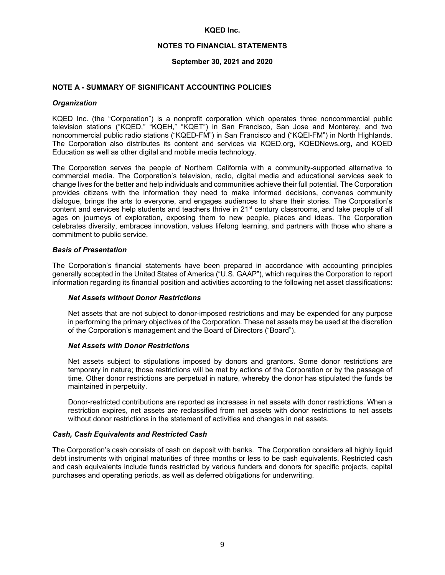#### **NOTES TO FINANCIAL STATEMENTS**

#### **September 30, 2021 and 2020**

#### **NOTE A - SUMMARY OF SIGNIFICANT ACCOUNTING POLICIES**

#### *Organization*

KQED Inc. (the "Corporation") is a nonprofit corporation which operates three noncommercial public television stations ("KQED," "KQEH," "KQET") in San Francisco, San Jose and Monterey, and two noncommercial public radio stations ("KQED-FM") in San Francisco and ("KQEI-FM") in North Highlands. The Corporation also distributes its content and services via KQED.org, KQEDNews.org, and KQED Education as well as other digital and mobile media technology.

The Corporation serves the people of Northern California with a community-supported alternative to commercial media. The Corporation's television, radio, digital media and educational services seek to change lives for the better and help individuals and communities achieve their full potential. The Corporation provides citizens with the information they need to make informed decisions, convenes community dialogue, brings the arts to everyone, and engages audiences to share their stories. The Corporation's content and services help students and teachers thrive in 21<sup>st</sup> century classrooms, and take people of all ages on journeys of exploration, exposing them to new people, places and ideas. The Corporation celebrates diversity, embraces innovation, values lifelong learning, and partners with those who share a commitment to public service.

#### *Basis of Presentation*

The Corporation's financial statements have been prepared in accordance with accounting principles generally accepted in the United States of America ("U.S. GAAP"), which requires the Corporation to report information regarding its financial position and activities according to the following net asset classifications:

#### *Net Assets without Donor Restrictions*

Net assets that are not subject to donor-imposed restrictions and may be expended for any purpose in performing the primary objectives of the Corporation. These net assets may be used at the discretion of the Corporation's management and the Board of Directors ("Board").

#### *Net Assets with Donor Restrictions*

Net assets subject to stipulations imposed by donors and grantors. Some donor restrictions are temporary in nature; those restrictions will be met by actions of the Corporation or by the passage of time. Other donor restrictions are perpetual in nature, whereby the donor has stipulated the funds be maintained in perpetuity.

Donor-restricted contributions are reported as increases in net assets with donor restrictions. When a restriction expires, net assets are reclassified from net assets with donor restrictions to net assets without donor restrictions in the statement of activities and changes in net assets.

#### *Cash, Cash Equivalents and Restricted Cash*

The Corporation's cash consists of cash on deposit with banks. The Corporation considers all highly liquid debt instruments with original maturities of three months or less to be cash equivalents. Restricted cash and cash equivalents include funds restricted by various funders and donors for specific projects, capital purchases and operating periods, as well as deferred obligations for underwriting.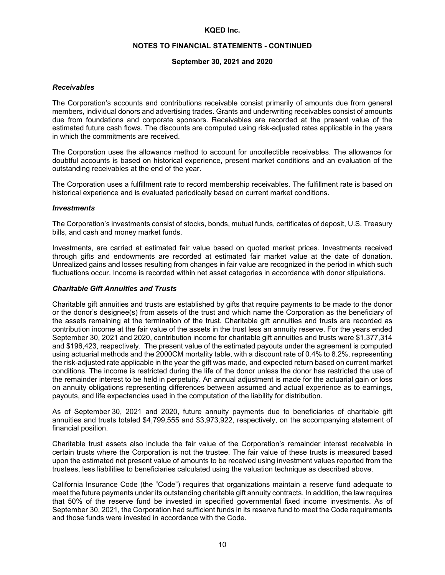#### **NOTES TO FINANCIAL STATEMENTS - CONTINUED**

#### **September 30, 2021 and 2020**

#### *Receivables*

The Corporation's accounts and contributions receivable consist primarily of amounts due from general members, individual donors and advertising trades. Grants and underwriting receivables consist of amounts due from foundations and corporate sponsors. Receivables are recorded at the present value of the estimated future cash flows. The discounts are computed using risk-adjusted rates applicable in the years in which the commitments are received.

The Corporation uses the allowance method to account for uncollectible receivables. The allowance for doubtful accounts is based on historical experience, present market conditions and an evaluation of the outstanding receivables at the end of the year.

The Corporation uses a fulfillment rate to record membership receivables. The fulfillment rate is based on historical experience and is evaluated periodically based on current market conditions.

#### *Investments*

The Corporation's investments consist of stocks, bonds, mutual funds, certificates of deposit, U.S. Treasury bills, and cash and money market funds.

Investments, are carried at estimated fair value based on quoted market prices. Investments received through gifts and endowments are recorded at estimated fair market value at the date of donation. Unrealized gains and losses resulting from changes in fair value are recognized in the period in which such fluctuations occur. Income is recorded within net asset categories in accordance with donor stipulations.

#### *Charitable Gift Annuities and Trusts*

Charitable gift annuities and trusts are established by gifts that require payments to be made to the donor or the donor's designee(s) from assets of the trust and which name the Corporation as the beneficiary of the assets remaining at the termination of the trust. Charitable gift annuities and trusts are recorded as contribution income at the fair value of the assets in the trust less an annuity reserve. For the years ended September 30, 2021 and 2020, contribution income for charitable gift annuities and trusts were \$1,377,314 and \$196,423, respectively. The present value of the estimated payouts under the agreement is computed using actuarial methods and the 2000CM mortality table, with a discount rate of 0.4% to 8.2%, representing the risk-adjusted rate applicable in the year the gift was made, and expected return based on current market conditions. The income is restricted during the life of the donor unless the donor has restricted the use of the remainder interest to be held in perpetuity. An annual adjustment is made for the actuarial gain or loss on annuity obligations representing differences between assumed and actual experience as to earnings, payouts, and life expectancies used in the computation of the liability for distribution.

As of September 30, 2021 and 2020, future annuity payments due to beneficiaries of charitable gift annuities and trusts totaled \$4,799,555 and \$3,973,922, respectively, on the accompanying statement of financial position.

Charitable trust assets also include the fair value of the Corporation's remainder interest receivable in certain trusts where the Corporation is not the trustee. The fair value of these trusts is measured based upon the estimated net present value of amounts to be received using investment values reported from the trustees, less liabilities to beneficiaries calculated using the valuation technique as described above.

California Insurance Code (the "Code") requires that organizations maintain a reserve fund adequate to meet the future payments under its outstanding charitable gift annuity contracts. In addition, the law requires that 50% of the reserve fund be invested in specified governmental fixed income investments. As of September 30, 2021, the Corporation had sufficient funds in its reserve fund to meet the Code requirements and those funds were invested in accordance with the Code.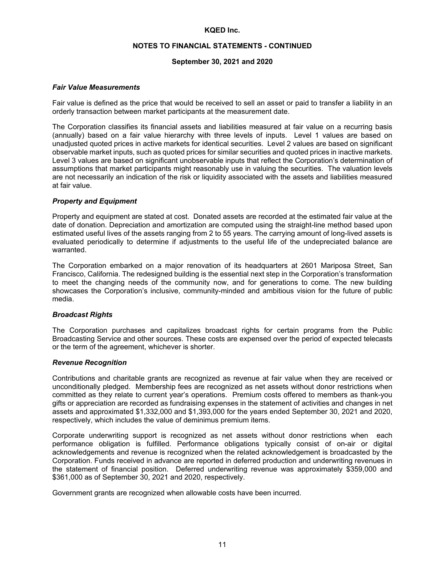# **NOTES TO FINANCIAL STATEMENTS - CONTINUED**

#### **September 30, 2021 and 2020**

#### *Fair Value Measurements*

Fair value is defined as the price that would be received to sell an asset or paid to transfer a liability in an orderly transaction between market participants at the measurement date.

The Corporation classifies its financial assets and liabilities measured at fair value on a recurring basis (annually) based on a fair value hierarchy with three levels of inputs. Level 1 values are based on unadjusted quoted prices in active markets for identical securities. Level 2 values are based on significant observable market inputs, such as quoted prices for similar securities and quoted prices in inactive markets. Level 3 values are based on significant unobservable inputs that reflect the Corporation's determination of assumptions that market participants might reasonably use in valuing the securities. The valuation levels are not necessarily an indication of the risk or liquidity associated with the assets and liabilities measured at fair value.

#### *Property and Equipment*

Property and equipment are stated at cost. Donated assets are recorded at the estimated fair value at the date of donation. Depreciation and amortization are computed using the straight-line method based upon estimated useful lives of the assets ranging from 2 to 55 years. The carrying amount of long-lived assets is evaluated periodically to determine if adjustments to the useful life of the undepreciated balance are warranted.

The Corporation embarked on a major renovation of its headquarters at 2601 Mariposa Street, San Francisco, California. The redesigned building is the essential next step in the Corporation's transformation to meet the changing needs of the community now, and for generations to come. The new building showcases the Corporation's inclusive, community-minded and ambitious vision for the future of public media.

#### *Broadcast Rights*

The Corporation purchases and capitalizes broadcast rights for certain programs from the Public Broadcasting Service and other sources. These costs are expensed over the period of expected telecasts or the term of the agreement, whichever is shorter.

#### *Revenue Recognition*

Contributions and charitable grants are recognized as revenue at fair value when they are received or unconditionally pledged. Membership fees are recognized as net assets without donor restrictions when committed as they relate to current year's operations. Premium costs offered to members as thank-you gifts or appreciation are recorded as fundraising expenses in the statement of activities and changes in net assets and approximated \$1,332,000 and \$1,393,000 for the years ended September 30, 2021 and 2020, respectively, which includes the value of deminimus premium items.

Corporate underwriting support is recognized as net assets without donor restrictions when each performance obligation is fulfilled. Performance obligations typically consist of on-air or digital acknowledgements and revenue is recognized when the related acknowledgement is broadcasted by the Corporation. Funds received in advance are reported in deferred production and underwriting revenues in the statement of financial position. Deferred underwriting revenue was approximately \$359,000 and \$361,000 as of September 30, 2021 and 2020, respectively.

Government grants are recognized when allowable costs have been incurred.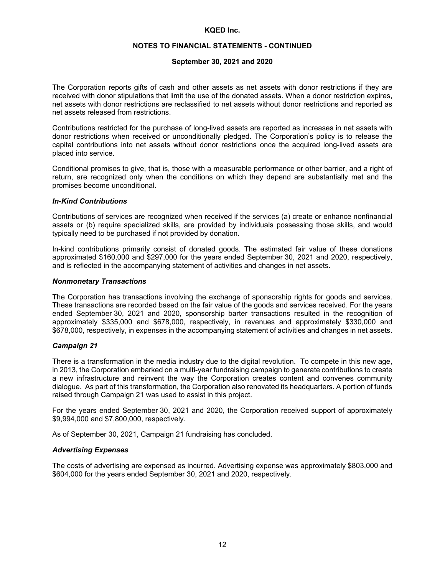#### **NOTES TO FINANCIAL STATEMENTS - CONTINUED**

#### **September 30, 2021 and 2020**

The Corporation reports gifts of cash and other assets as net assets with donor restrictions if they are received with donor stipulations that limit the use of the donated assets. When a donor restriction expires, net assets with donor restrictions are reclassified to net assets without donor restrictions and reported as net assets released from restrictions.

Contributions restricted for the purchase of long-lived assets are reported as increases in net assets with donor restrictions when received or unconditionally pledged. The Corporation's policy is to release the capital contributions into net assets without donor restrictions once the acquired long-lived assets are placed into service.

Conditional promises to give, that is, those with a measurable performance or other barrier, and a right of return, are recognized only when the conditions on which they depend are substantially met and the promises become unconditional.

#### *In-Kind Contributions*

Contributions of services are recognized when received if the services (a) create or enhance nonfinancial assets or (b) require specialized skills, are provided by individuals possessing those skills, and would typically need to be purchased if not provided by donation.

In-kind contributions primarily consist of donated goods. The estimated fair value of these donations approximated \$160,000 and \$297,000 for the years ended September 30, 2021 and 2020, respectively, and is reflected in the accompanying statement of activities and changes in net assets.

#### *Nonmonetary Transactions*

The Corporation has transactions involving the exchange of sponsorship rights for goods and services. These transactions are recorded based on the fair value of the goods and services received. For the years ended September 30, 2021 and 2020, sponsorship barter transactions resulted in the recognition of approximately \$335,000 and \$678,000, respectively, in revenues and approximately \$330,000 and \$678,000, respectively, in expenses in the accompanying statement of activities and changes in net assets.

## *Campaign 21*

There is a transformation in the media industry due to the digital revolution. To compete in this new age, in 2013, the Corporation embarked on a multi-year fundraising campaign to generate contributions to create a new infrastructure and reinvent the way the Corporation creates content and convenes community dialogue. As part of this transformation, the Corporation also renovated its headquarters. A portion of funds raised through Campaign 21 was used to assist in this project.

For the years ended September 30, 2021 and 2020, the Corporation received support of approximately \$9,994,000 and \$7,800,000, respectively.

As of September 30, 2021, Campaign 21 fundraising has concluded.

## *Advertising Expenses*

The costs of advertising are expensed as incurred. Advertising expense was approximately \$803,000 and \$604,000 for the years ended September 30, 2021 and 2020, respectively.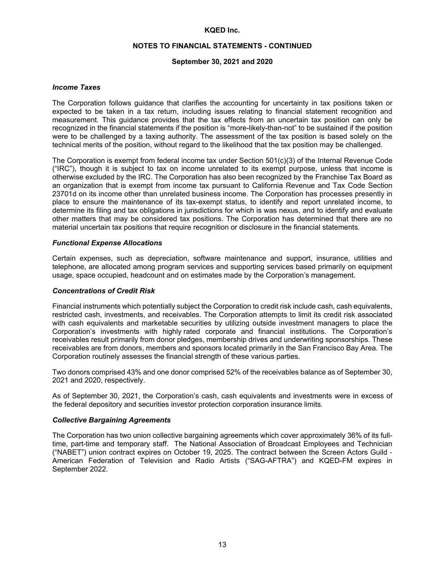#### **NOTES TO FINANCIAL STATEMENTS - CONTINUED**

#### **September 30, 2021 and 2020**

#### *Income Taxes*

The Corporation follows guidance that clarifies the accounting for uncertainty in tax positions taken or expected to be taken in a tax return, including issues relating to financial statement recognition and measurement. This guidance provides that the tax effects from an uncertain tax position can only be recognized in the financial statements if the position is "more-likely-than-not" to be sustained if the position were to be challenged by a taxing authority. The assessment of the tax position is based solely on the technical merits of the position, without regard to the likelihood that the tax position may be challenged.

The Corporation is exempt from federal income tax under Section 501(c)(3) of the Internal Revenue Code ("IRC"), though it is subject to tax on income unrelated to its exempt purpose, unless that income is otherwise excluded by the IRC. The Corporation has also been recognized by the Franchise Tax Board as an organization that is exempt from income tax pursuant to California Revenue and Tax Code Section 23701d on its income other than unrelated business income. The Corporation has processes presently in place to ensure the maintenance of its tax-exempt status, to identify and report unrelated income, to determine its filing and tax obligations in jurisdictions for which is was nexus, and to identify and evaluate other matters that may be considered tax positions. The Corporation has determined that there are no material uncertain tax positions that require recognition or disclosure in the financial statements.

#### *Functional Expense Allocations*

Certain expenses, such as depreciation, software maintenance and support, insurance, utilities and telephone, are allocated among program services and supporting services based primarily on equipment usage, space occupied, headcount and on estimates made by the Corporation's management.

#### *Concentrations of Credit Risk*

Financial instruments which potentially subject the Corporation to credit risk include cash, cash equivalents, restricted cash, investments, and receivables. The Corporation attempts to limit its credit risk associated with cash equivalents and marketable securities by utilizing outside investment managers to place the Corporation's investments with highly rated corporate and financial institutions. The Corporation's receivables result primarily from donor pledges, membership drives and underwriting sponsorships. These receivables are from donors, members and sponsors located primarily in the San Francisco Bay Area. The Corporation routinely assesses the financial strength of these various parties.

Two donors comprised 43% and one donor comprised 52% of the receivables balance as of September 30, 2021 and 2020, respectively.

As of September 30, 2021, the Corporation's cash, cash equivalents and investments were in excess of the federal depository and securities investor protection corporation insurance limits.

#### *Collective Bargaining Agreements*

The Corporation has two union collective bargaining agreements which cover approximately 36% of its fulltime, part-time and temporary staff. The National Association of Broadcast Employees and Technician ("NABET") union contract expires on October 19, 2025. The contract between the Screen Actors Guild - American Federation of Television and Radio Artists ("SAG-AFTRA") and KQED-FM expires in September 2022.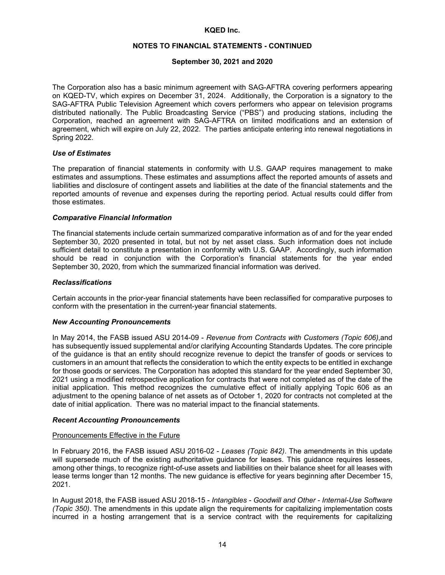# **NOTES TO FINANCIAL STATEMENTS - CONTINUED**

#### **September 30, 2021 and 2020**

The Corporation also has a basic minimum agreement with SAG-AFTRA covering performers appearing on KQED-TV, which expires on December 31, 2024. Additionally, the Corporation is a signatory to the SAG-AFTRA Public Television Agreement which covers performers who appear on television programs distributed nationally. The Public Broadcasting Service ("PBS") and producing stations, including the Corporation, reached an agreement with SAG-AFTRA on limited modifications and an extension of agreement, which will expire on July 22, 2022. The parties anticipate entering into renewal negotiations in Spring 2022.

#### *Use of Estimates*

The preparation of financial statements in conformity with U.S. GAAP requires management to make estimates and assumptions. These estimates and assumptions affect the reported amounts of assets and liabilities and disclosure of contingent assets and liabilities at the date of the financial statements and the reported amounts of revenue and expenses during the reporting period. Actual results could differ from those estimates.

#### *Comparative Financial Information*

The financial statements include certain summarized comparative information as of and for the year ended September 30, 2020 presented in total, but not by net asset class. Such information does not include sufficient detail to constitute a presentation in conformity with U.S. GAAP. Accordingly, such information should be read in conjunction with the Corporation's financial statements for the year ended September 30, 2020, from which the summarized financial information was derived.

#### *Reclassifications*

Certain accounts in the prior-year financial statements have been reclassified for comparative purposes to conform with the presentation in the current-year financial statements.

#### *New Accounting Pronouncements*

In May 2014, the FASB issued ASU 2014-09 - *Revenue from Contracts with Customers (Topic 606)*,and has subsequently issued supplemental and/or clarifying Accounting Standards Updates*.* The core principle of the guidance is that an entity should recognize revenue to depict the transfer of goods or services to customers in an amount that reflects the consideration to which the entity expects to be entitled in exchange for those goods or services. The Corporation has adopted this standard for the year ended September 30, 2021 using a modified retrospective application for contracts that were not completed as of the date of the initial application. This method recognizes the cumulative effect of initially applying Topic 606 as an adjustment to the opening balance of net assets as of October 1, 2020 for contracts not completed at the date of initial application. There was no material impact to the financial statements.

#### *Recent Accounting Pronouncements*

#### Pronouncements Effective in the Future

In February 2016, the FASB issued ASU 2016-02 - *Leases (Topic 842)*. The amendments in this update will supersede much of the existing authoritative guidance for leases. This guidance requires lessees, among other things, to recognize right-of-use assets and liabilities on their balance sheet for all leases with lease terms longer than 12 months. The new guidance is effective for years beginning after December 15, 2021.

In August 2018, the FASB issued ASU 2018-15 - *Intangibles - Goodwill and Other - Internal-Use Software (Topic 350)*. The amendments in this update align the requirements for capitalizing implementation costs incurred in a hosting arrangement that is a service contract with the requirements for capitalizing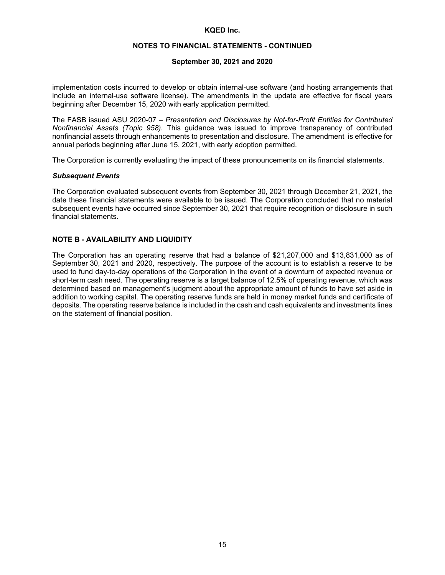## **NOTES TO FINANCIAL STATEMENTS - CONTINUED**

#### **September 30, 2021 and 2020**

implementation costs incurred to develop or obtain internal-use software (and hosting arrangements that include an internal-use software license). The amendments in the update are effective for fiscal years beginning after December 15, 2020 with early application permitted.

The FASB issued ASU 2020-07 – *Presentation and Disclosures by Not-for-Profit Entities for Contributed Nonfinancial Assets (Topic 958).* This guidance was issued to improve transparency of contributed nonfinancial assets through enhancements to presentation and disclosure. The amendment is effective for annual periods beginning after June 15, 2021, with early adoption permitted.

The Corporation is currently evaluating the impact of these pronouncements on its financial statements.

#### *Subsequent Events*

The Corporation evaluated subsequent events from September 30, 2021 through December 21, 2021, the date these financial statements were available to be issued. The Corporation concluded that no material subsequent events have occurred since September 30, 2021 that require recognition or disclosure in such financial statements.

## **NOTE B - AVAILABILITY AND LIQUIDITY**

The Corporation has an operating reserve that had a balance of \$21,207,000 and \$13,831,000 as of September 30, 2021 and 2020, respectively. The purpose of the account is to establish a reserve to be used to fund day-to-day operations of the Corporation in the event of a downturn of expected revenue or short-term cash need. The operating reserve is a target balance of 12.5% of operating revenue, which was determined based on management's judgment about the appropriate amount of funds to have set aside in addition to working capital. The operating reserve funds are held in money market funds and certificate of deposits. The operating reserve balance is included in the cash and cash equivalents and investments lines on the statement of financial position.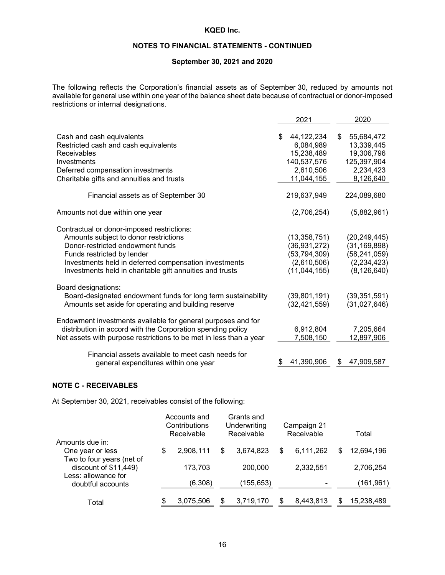# **NOTES TO FINANCIAL STATEMENTS - CONTINUED**

# **September 30, 2021 and 2020**

The following reflects the Corporation's financial assets as of September 30, reduced by amounts not available for general use within one year of the balance sheet date because of contractual or donor-imposed restrictions or internal designations.

|                                                                    | 2021                          | 2020                           |
|--------------------------------------------------------------------|-------------------------------|--------------------------------|
| Cash and cash equivalents<br>Restricted cash and cash equivalents  | 44,122,234<br>\$<br>6,084,989 | \$<br>55,684,472<br>13,339,445 |
| <b>Receivables</b>                                                 | 15,238,489                    | 19,306,796                     |
| Investments                                                        | 140,537,576                   | 125,397,904                    |
| Deferred compensation investments                                  | 2,610,506                     | 2,234,423                      |
| Charitable gifts and annuities and trusts                          | 11,044,155                    | 8,126,640                      |
| Financial assets as of September 30                                | 219,637,949                   | 224,089,680                    |
| Amounts not due within one year                                    | (2,706,254)                   | (5,882,961)                    |
| Contractual or donor-imposed restrictions:                         |                               |                                |
| Amounts subject to donor restrictions                              | (13, 358, 751)                | (20, 249, 445)                 |
| Donor-restricted endowment funds                                   | (36, 931, 272)                | (31, 169, 898)                 |
| Funds restricted by lender                                         | (53, 794, 309)                | (58, 241, 059)                 |
| Investments held in deferred compensation investments              | (2,610,506)                   | (2, 234, 423)                  |
| Investments held in charitable gift annuities and trusts           | (11,044,155)                  | (8, 126, 640)                  |
| Board designations:                                                |                               |                                |
| Board-designated endowment funds for long term sustainability      | (39,801,191)                  | (39, 351, 591)                 |
| Amounts set aside for operating and building reserve               | (32, 421, 559)                | (31,027,646)                   |
| Endowment investments available for general purposes and for       |                               |                                |
| distribution in accord with the Corporation spending policy        | 6,912,804                     | 7,205,664                      |
| Net assets with purpose restrictions to be met in less than a year | 7,508,150                     | 12,897,906                     |
| Financial assets available to meet cash needs for                  |                               |                                |
|                                                                    | 41,390,906                    | 47,909,587                     |
| general expenditures within one year                               |                               |                                |

#### **NOTE C - RECEIVABLES**

At September 30, 2021, receivables consist of the following:

|                                                    | Accounts and<br>Contributions<br>Receivable | Grants and<br>Underwriting<br>Receivable |            |    | Campaign 21<br>Receivable | Total            |
|----------------------------------------------------|---------------------------------------------|------------------------------------------|------------|----|---------------------------|------------------|
| Amounts due in:                                    |                                             |                                          |            |    |                           |                  |
| One year or less                                   | \$<br>2,908,111                             | S                                        | 3,674,823  | \$ | 6,111,262                 | \$<br>12,694,196 |
| Two to four years (net of<br>discount of \$11,449) | 173,703                                     |                                          | 200,000    |    | 2,332,551                 | 2,706,254        |
| Less: allowance for<br>doubtful accounts           | (6,308)                                     |                                          | (155, 653) |    |                           | (161,961)        |
| Total                                              | \$<br>3,075,506                             |                                          | 3,719,170  | S  | 8,443,813                 | 15,238,489       |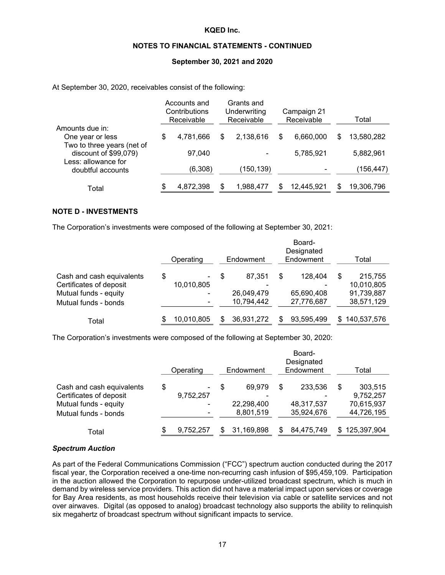#### **NOTES TO FINANCIAL STATEMENTS - CONTINUED**

#### **September 30, 2021 and 2020**

At September 30, 2020, receivables consist of the following:

| Total      |
|------------|
|            |
| 13,580,282 |
| 5,882,961  |
| (156, 447) |
|            |
| 19,306,796 |
|            |

#### **NOTE D - INVESTMENTS**

The Corporation's investments were composed of the following at September 30, 2021:

|                                                                                                       | Operating                        |   | Endowment                               |    | Board-<br>Designated<br>Endowment   |   | Total                                             |
|-------------------------------------------------------------------------------------------------------|----------------------------------|---|-----------------------------------------|----|-------------------------------------|---|---------------------------------------------------|
| Cash and cash equivalents<br>Certificates of deposit<br>Mutual funds - equity<br>Mutual funds - bonds | \$<br>۰<br>10,010,805<br>٠<br>۰. | S | 87.351<br>-<br>26,049,479<br>10,794,442 | \$ | 128.404<br>65,690,408<br>27,776,687 | S | 215,755<br>10,010,805<br>91,739,887<br>38,571,129 |
| Total                                                                                                 | 10,010,805                       |   | 36,931,272                              | S  | 93,595,499                          |   | \$140,537,576                                     |

The Corporation's investments were composed of the following at September 30, 2020:

|                                                                                                       | Board-<br>Designated<br>Endowment<br>Endowment<br>Operating |                          |   |                                                               |    |                                     |    | Total                                            |  |  |
|-------------------------------------------------------------------------------------------------------|-------------------------------------------------------------|--------------------------|---|---------------------------------------------------------------|----|-------------------------------------|----|--------------------------------------------------|--|--|
| Cash and cash equivalents<br>Certificates of deposit<br>Mutual funds - equity<br>Mutual funds - bonds | \$                                                          | -<br>9,752,257<br>۰<br>۰ | S | 69.979<br>$\overline{\phantom{0}}$<br>22,298,400<br>8,801,519 | \$ | 233,536<br>48,317,537<br>35,924,676 | \$ | 303,515<br>9,752,257<br>70,615,937<br>44,726,195 |  |  |
| Total                                                                                                 | S                                                           | 9,752,257                |   | 31,169,898                                                    |    | 84,475,749                          | S  | 125,397,904                                      |  |  |

#### *Spectrum Auction*

As part of the Federal Communications Commission ("FCC") spectrum auction conducted during the 2017 fiscal year, the Corporation received a one-time non-recurring cash infusion of \$95,459,109. Participation in the auction allowed the Corporation to repurpose under-utilized broadcast spectrum, which is much in demand by wireless service providers. This action did not have a material impact upon services or coverage for Bay Area residents, as most households receive their television via cable or satellite services and not over airwaves. Digital (as opposed to analog) broadcast technology also supports the ability to relinquish six megahertz of broadcast spectrum without significant impacts to service.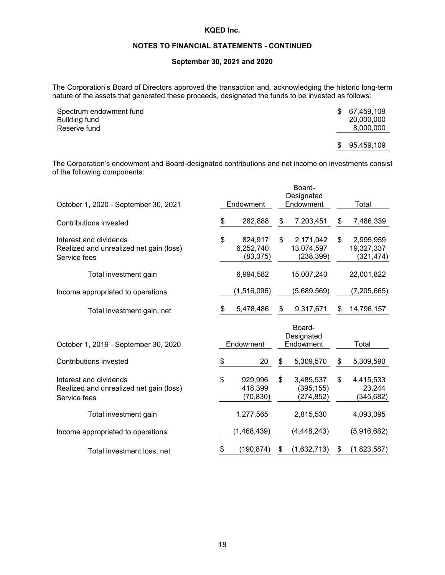## **NOTES TO FINANCIAL STATEMENTS - CONTINUED**

#### **September 30, 2021 and 2020**

The Corporation's Board of Directors approved the transaction and, acknowledging the historic long-term nature of the assets that generated these proceeds, designated the funds to be invested as follows:

| Spectrum endowment fund |    | \$ 67.459.109 |
|-------------------------|----|---------------|
| Building fund           |    | 20,000,000    |
| Reserve fund            |    | 8,000,000     |
|                         |    |               |
|                         | S. | 95,459,109    |

The Corporation's endowment and Board-designated contributions and net income on investments consist of the following components:

|                                                                                   |                                        | Board-<br>Designated                        |    |                                       |
|-----------------------------------------------------------------------------------|----------------------------------------|---------------------------------------------|----|---------------------------------------|
| October 1, 2020 - September 30, 2021                                              | Endowment                              | Endowment                                   |    | Total                                 |
| Contributions invested                                                            | \$<br>282,888                          | \$<br>7,203,451                             | \$ | 7,486,339                             |
| Interest and dividends<br>Realized and unrealized net gain (loss)<br>Service fees | \$<br>824,917<br>6,252,740<br>(83,075) | \$<br>2,171,042<br>13,074,597<br>(238, 399) | \$ | 2,995,959<br>19,327,337<br>(321, 474) |
| Total investment gain                                                             | 6,994,582                              | 15,007,240                                  |    | 22,001,822                            |
| Income appropriated to operations                                                 | (1,516,096)                            | (5,689,569)                                 |    | (7, 205, 665)                         |
| Total investment gain, net                                                        | \$<br>5,478,486                        | \$<br>9,317,671                             | S  | 14,796,157                            |
| October 1, 2019 - September 30, 2020                                              | Endowment                              | Board-<br>Designated<br>Endowment           |    | Total                                 |
| Contributions invested                                                            | \$<br>20                               | \$<br>5,309,570                             | S  | 5,309,590                             |
| Interest and dividends<br>Realized and unrealized net gain (loss)<br>Service fees | \$<br>929,996<br>418,399<br>(70, 830)  | \$<br>3,485,537<br>(395, 155)<br>(274, 852) | \$ | 4,415,533<br>23,244<br>(345, 682)     |
| Total investment gain                                                             | 1,277,565                              | 2,815,530                                   |    | 4,093,095                             |
| Income appropriated to operations                                                 | (1,468,439)                            | (4, 448, 243)                               |    | (5,916,682)                           |
| Total investment loss, net                                                        | \$<br>(190, 874)                       | \$<br>(1,632,713)                           | \$ | (1,823,587)                           |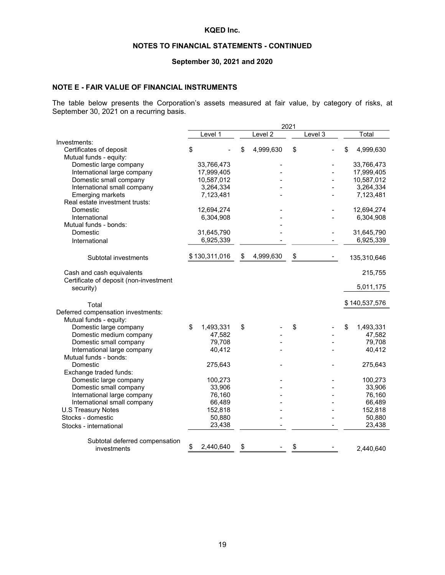## **NOTES TO FINANCIAL STATEMENTS - CONTINUED**

# **September 30, 2021 and 2020**

#### **NOTE E - FAIR VALUE OF FINANCIAL INSTRUMENTS**

The table below presents the Corporation's assets measured at fair value, by category of risks, at September 30, 2021 on a recurring basis.

|                                                   |                 |                    | 2021 |         |                  |
|---------------------------------------------------|-----------------|--------------------|------|---------|------------------|
|                                                   | Level 1         | Level <sub>2</sub> |      | Level 3 | Total            |
| Investments:                                      |                 |                    |      |         |                  |
| Certificates of deposit                           | \$              | \$<br>4,999,630    | \$   |         | \$<br>4,999,630  |
| Mutual funds - equity:                            |                 |                    |      |         |                  |
| Domestic large company                            | 33,766,473      |                    |      |         | 33,766,473       |
| International large company                       | 17,999,405      |                    |      |         | 17,999,405       |
| Domestic small company                            | 10,587,012      |                    |      |         | 10,587,012       |
| International small company                       | 3,264,334       |                    |      |         | 3,264,334        |
| Emerging markets                                  | 7,123,481       |                    |      |         | 7,123,481        |
| Real estate investment trusts:                    |                 |                    |      |         |                  |
| Domestic                                          | 12,694,274      |                    |      |         | 12,694,274       |
| International                                     | 6,304,908       |                    |      |         | 6,304,908        |
| Mutual funds - bonds:                             |                 |                    |      |         |                  |
| Domestic                                          | 31,645,790      |                    |      |         | 31,645,790       |
| International                                     | 6,925,339       |                    |      |         | 6,925,339        |
|                                                   |                 |                    |      |         |                  |
| Subtotal investments                              | \$130,311,016   | \$<br>4,999,630    | \$   |         | 135,310,646      |
|                                                   |                 |                    |      |         |                  |
| Cash and cash equivalents                         |                 |                    |      |         | 215,755          |
| Certificate of deposit (non-investment            |                 |                    |      |         |                  |
| security)                                         |                 |                    |      |         | 5,011,175        |
|                                                   |                 |                    |      |         |                  |
| Total                                             |                 |                    |      |         | \$140,537,576    |
| Deferred compensation investments:                |                 |                    |      |         |                  |
| Mutual funds - equity:                            |                 |                    |      |         |                  |
|                                                   |                 |                    |      |         |                  |
| Domestic large company<br>Domestic medium company | \$<br>1,493,331 | \$                 | \$   |         | \$<br>1,493,331  |
|                                                   | 47,582          |                    |      |         | 47,582           |
| Domestic small company                            | 79,708          |                    |      |         | 79,708<br>40,412 |
| International large company                       | 40,412          |                    |      |         |                  |
| Mutual funds - bonds:                             |                 |                    |      |         |                  |
| Domestic                                          | 275,643         |                    |      |         | 275,643          |
| Exchange traded funds:                            |                 |                    |      |         |                  |
| Domestic large company                            | 100,273         |                    |      |         | 100,273          |
| Domestic small company                            | 33,906          |                    |      |         | 33,906           |
| International large company                       | 76,160          |                    |      |         | 76,160           |
| International small company                       | 66,489          |                    |      |         | 66,489           |
| <b>U.S Treasury Notes</b>                         | 152,818         |                    |      |         | 152,818          |
| Stocks - domestic                                 | 50,880          |                    |      |         | 50,880           |
| Stocks - international                            | 23,438          |                    |      |         | 23,438           |
|                                                   |                 |                    |      |         |                  |
| Subtotal deferred compensation                    |                 |                    |      |         |                  |
| investments                                       | \$<br>2,440,640 | \$                 | \$   |         | 2,440,640        |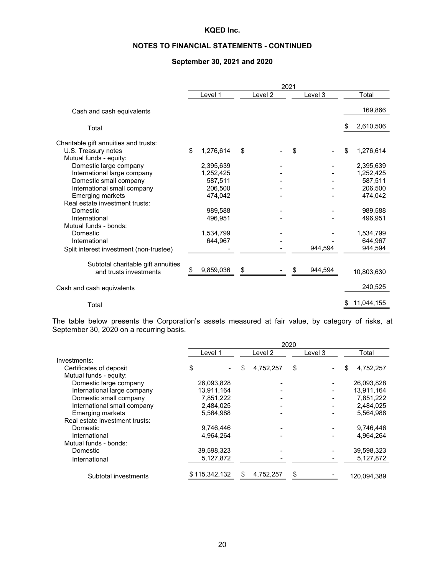# **NOTES TO FINANCIAL STATEMENTS - CONTINUED**

# **September 30, 2021 and 2020**

|                                               | 2021 |           |    |         |    |         |    |            |
|-----------------------------------------------|------|-----------|----|---------|----|---------|----|------------|
|                                               |      | Level 1   |    | Level 2 |    | Level 3 |    | Total      |
| Cash and cash equivalents                     |      |           |    |         |    |         |    | 169,866    |
| Total                                         |      |           |    |         |    |         | S  | 2,610,506  |
| Charitable gift annuities and trusts:         |      |           |    |         |    |         |    |            |
| U.S. Treasury notes<br>Mutual funds - equity: | \$   | 1,276,614 | \$ |         | \$ |         | S  | 1,276,614  |
| Domestic large company                        |      | 2,395,639 |    |         |    |         |    | 2,395,639  |
| International large company                   |      | 1,252,425 |    |         |    |         |    | 1,252,425  |
| Domestic small company                        |      | 587,511   |    |         |    |         |    | 587,511    |
| International small company                   |      | 206,500   |    |         |    |         |    | 206,500    |
| <b>Emerging markets</b>                       |      | 474,042   |    |         |    |         |    | 474,042    |
| Real estate investment trusts:                |      |           |    |         |    |         |    |            |
| Domestic                                      |      | 989,588   |    |         |    |         |    | 989,588    |
| International                                 |      | 496,951   |    |         |    |         |    | 496,951    |
| Mutual funds - bonds:                         |      |           |    |         |    |         |    |            |
| Domestic                                      |      | 1,534,799 |    |         |    |         |    | 1,534,799  |
| International                                 |      | 644,967   |    |         |    |         |    | 644.967    |
| Split interest investment (non-trustee)       |      |           |    |         |    | 944,594 |    | 944,594    |
| Subtotal charitable gift annuities            |      |           |    |         |    |         |    |            |
| and trusts investments                        | \$   | 9,859,036 | \$ |         | \$ | 944.594 |    | 10,803,630 |
| Cash and cash equivalents                     |      |           |    |         |    |         |    | 240,525    |
| Total                                         |      |           |    |         |    |         | \$ | 11,044,155 |

The table below presents the Corporation's assets measured at fair value, by category of risks, at September 30, 2020 on a recurring basis.

|                                |               |   |           | 2020 |         |     |             |
|--------------------------------|---------------|---|-----------|------|---------|-----|-------------|
|                                | Level 1       |   | Level 2   |      | Level 3 |     | Total       |
| Investments:                   |               |   |           |      |         |     |             |
| Certificates of deposit        | \$            | S | 4,752,257 | \$   |         | \$. | 4,752,257   |
| Mutual funds - equity:         |               |   |           |      |         |     |             |
| Domestic large company         | 26,093,828    |   |           |      |         |     | 26,093,828  |
| International large company    | 13,911,164    |   |           |      |         |     | 13,911,164  |
| Domestic small company         | 7,851,222     |   |           |      |         |     | 7,851,222   |
| International small company    | 2,484,025     |   |           |      |         |     | 2,484,025   |
| <b>Emerging markets</b>        | 5,564,988     |   |           |      |         |     | 5.564.988   |
| Real estate investment trusts: |               |   |           |      |         |     |             |
| Domestic                       | 9,746,446     |   |           |      |         |     | 9,746,446   |
| International                  | 4.964.264     |   |           |      |         |     | 4,964,264   |
| Mutual funds - bonds:          |               |   |           |      |         |     |             |
| Domestic                       | 39,598,323    |   |           |      |         |     | 39,598,323  |
| International                  | 5,127,872     |   |           |      |         |     | 5,127,872   |
| Subtotal investments           | \$115,342,132 |   | 4,752,257 |      |         |     | 120.094.389 |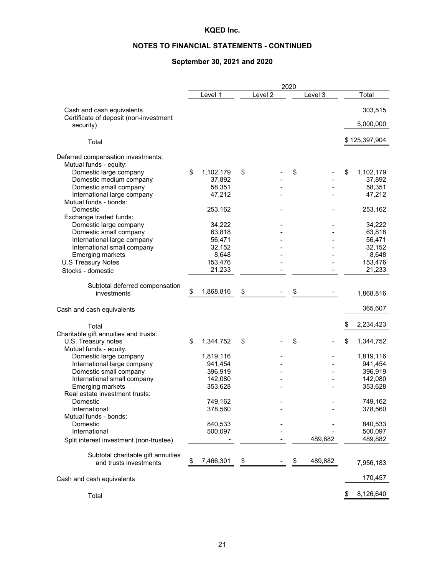# **NOTES TO FINANCIAL STATEMENTS - CONTINUED**

# **September 30, 2021 and 2020**

|                                                                     |                   |           | 2020 |         |                   |
|---------------------------------------------------------------------|-------------------|-----------|------|---------|-------------------|
|                                                                     | Level 1           | Level $2$ |      | Level 3 | Total             |
| Cash and cash equivalents<br>Certificate of deposit (non-investment |                   |           |      |         | 303,515           |
| security)                                                           |                   |           |      |         | 5,000,000         |
| Total                                                               |                   |           |      |         | \$125,397,904     |
| Deferred compensation investments:<br>Mutual funds - equity:        |                   |           |      |         |                   |
| Domestic large company                                              | \$<br>1,102,179   | \$        | \$   |         | \$<br>1,102,179   |
| Domestic medium company                                             | 37,892            |           |      |         | 37,892            |
| Domestic small company                                              | 58,351            |           |      |         | 58,351            |
| International large company                                         | 47,212            |           |      |         | 47,212            |
| Mutual funds - bonds:                                               |                   |           |      |         |                   |
| Domestic                                                            | 253,162           |           |      |         | 253,162           |
| Exchange traded funds:                                              |                   |           |      |         |                   |
| Domestic large company                                              | 34,222            |           |      |         | 34,222            |
| Domestic small company                                              | 63,818            |           |      |         | 63,818            |
| International large company                                         | 56,471            |           |      |         | 56,471            |
| International small company                                         | 32,152            |           |      |         | 32,152            |
| <b>Emerging markets</b>                                             | 8,648             |           |      |         | 8,648             |
| <b>U.S Treasury Notes</b>                                           | 153,476<br>21,233 |           |      |         | 153,476<br>21,233 |
| Stocks - domestic                                                   |                   |           |      |         |                   |
| Subtotal deferred compensation                                      |                   |           |      |         |                   |
| investments                                                         | \$<br>1,868,816   | \$        | \$   |         | 1,868,816         |
|                                                                     |                   |           |      |         |                   |
| Cash and cash equivalents                                           |                   |           |      |         | 365,607           |
| Total                                                               |                   |           |      |         | \$<br>2,234,423   |
| Charitable gift annuities and trusts:                               |                   |           |      |         |                   |
| U.S. Treasury notes                                                 | \$<br>1,344,752   | \$        | \$   |         | \$<br>1,344,752   |
| Mutual funds - equity:                                              |                   |           |      |         |                   |
| Domestic large company                                              | 1,819,116         |           |      |         | 1,819,116         |
| International large company                                         | 941,454           |           |      |         | 941,454           |
| Domestic small company                                              | 396,919           |           |      |         | 396,919           |
| International small company                                         | 142,080           |           |      |         | 142,080           |
| <b>Emerging markets</b>                                             | 353,628           |           |      |         | 353,628           |
| Real estate investment trusts:                                      |                   |           |      |         |                   |
| Domestic                                                            | 749,162           |           |      |         | 749,162           |
| International<br>Mutual funds - bonds:                              | 378,560           |           |      |         | 378,560           |
| Domestic                                                            | 840,533           |           |      |         | 840,533           |
| International                                                       | 500,097           |           |      |         | 500,097           |
| Split interest investment (non-trustee)                             |                   |           |      | 489,882 | 489,882           |
|                                                                     |                   |           |      |         |                   |
| Subtotal charitable gift annuities                                  |                   |           |      |         |                   |
| and trusts investments                                              | \$<br>7,466,301   | \$        | \$   | 489,882 | 7,956,183         |
|                                                                     |                   |           |      |         |                   |
| Cash and cash equivalents                                           |                   |           |      |         | 170,457           |
| Total                                                               |                   |           |      |         | \$<br>8,126,640   |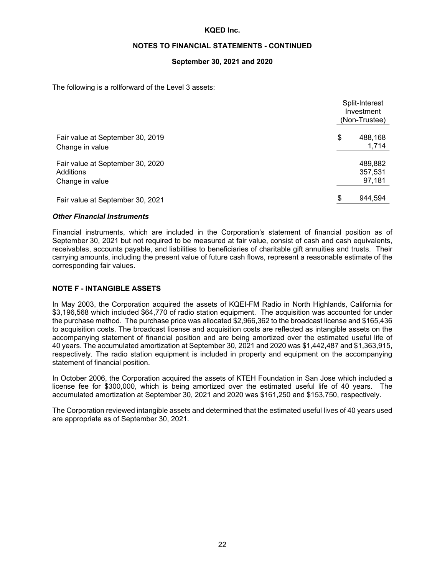#### **NOTES TO FINANCIAL STATEMENTS - CONTINUED**

#### **September 30, 2021 and 2020**

The following is a rollforward of the Level 3 assets:

|                                                                  | Split-Interest<br>Investment<br>(Non-Trustee) |
|------------------------------------------------------------------|-----------------------------------------------|
| Fair value at September 30, 2019<br>Change in value              | \$<br>488,168<br>1,714                        |
| Fair value at September 30, 2020<br>Additions<br>Change in value | 489,882<br>357,531<br>97,181                  |
| Fair value at September 30, 2021                                 | \$<br>944,594                                 |

#### *Other Financial Instruments*

Financial instruments, which are included in the Corporation's statement of financial position as of September 30, 2021 but not required to be measured at fair value, consist of cash and cash equivalents, receivables, accounts payable, and liabilities to beneficiaries of charitable gift annuities and trusts. Their carrying amounts, including the present value of future cash flows, represent a reasonable estimate of the corresponding fair values.

#### **NOTE F - INTANGIBLE ASSETS**

In May 2003, the Corporation acquired the assets of KQEI-FM Radio in North Highlands, California for \$3,196,568 which included \$64,770 of radio station equipment. The acquisition was accounted for under the purchase method. The purchase price was allocated \$2,966,362 to the broadcast license and \$165,436 to acquisition costs. The broadcast license and acquisition costs are reflected as intangible assets on the accompanying statement of financial position and are being amortized over the estimated useful life of 40 years. The accumulated amortization at September 30, 2021 and 2020 was \$1,442,487 and \$1,363,915, respectively. The radio station equipment is included in property and equipment on the accompanying statement of financial position.

In October 2006, the Corporation acquired the assets of KTEH Foundation in San Jose which included a license fee for \$300,000, which is being amortized over the estimated useful life of 40 years. The accumulated amortization at September 30, 2021 and 2020 was \$161,250 and \$153,750, respectively.

The Corporation reviewed intangible assets and determined that the estimated useful lives of 40 years used are appropriate as of September 30, 2021.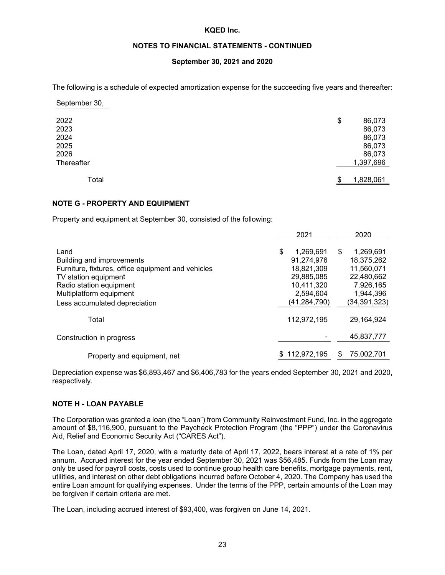#### **NOTES TO FINANCIAL STATEMENTS - CONTINUED**

## **September 30, 2021 and 2020**

The following is a schedule of expected amortization expense for the succeeding five years and thereafter:

| 2022       | \$<br>86,073    |  |
|------------|-----------------|--|
| 2023       | 86,073          |  |
| 2024       | 86,073          |  |
| 2025       | 86,073          |  |
| 2026       | 86,073          |  |
| Thereafter | 1,397,696       |  |
|            |                 |  |
| Total      | 1,828,061<br>\$ |  |

September 30,

#### **NOTE G - PROPERTY AND EQUIPMENT**

Property and equipment at September 30, consisted of the following:

|                                                    | 2021            | 2020            |
|----------------------------------------------------|-----------------|-----------------|
| Land                                               | \$<br>1,269,691 | 1,269,691<br>\$ |
| Building and improvements                          | 91,274,976      | 18,375,262      |
| Furniture, fixtures, office equipment and vehicles | 18,821,309      | 11,560,071      |
| TV station equipment                               | 29,885,085      | 22,480,662      |
| Radio station equipment                            | 10.411.320      | 7,926,165       |
| Multiplatform equipment                            | 2,594,604       | 1,944,396       |
| Less accumulated depreciation                      | (41,284,790)    | (34, 391, 323)  |
| Total                                              | 112,972,195     | 29.164.924      |
| Construction in progress                           |                 | 45.837.777      |
| Property and equipment, net                        | 112,972,195     | 75,002,701<br>S |

Depreciation expense was \$6,893,467 and \$6,406,783 for the years ended September 30, 2021 and 2020, respectively.

#### **NOTE H - LOAN PAYABLE**

The Corporation was granted a loan (the "Loan") from Community Reinvestment Fund, Inc. in the aggregate amount of \$8,116,900, pursuant to the Paycheck Protection Program (the "PPP") under the Coronavirus Aid, Relief and Economic Security Act ("CARES Act").

The Loan, dated April 17, 2020, with a maturity date of April 17, 2022, bears interest at a rate of 1% per annum. Accrued interest for the year ended September 30, 2021 was \$56,485. Funds from the Loan may only be used for payroll costs, costs used to continue group health care benefits, mortgage payments, rent, utilities, and interest on other debt obligations incurred before October 4, 2020. The Company has used the entire Loan amount for qualifying expenses. Under the terms of the PPP, certain amounts of the Loan may be forgiven if certain criteria are met.

The Loan, including accrued interest of \$93,400, was forgiven on June 14, 2021.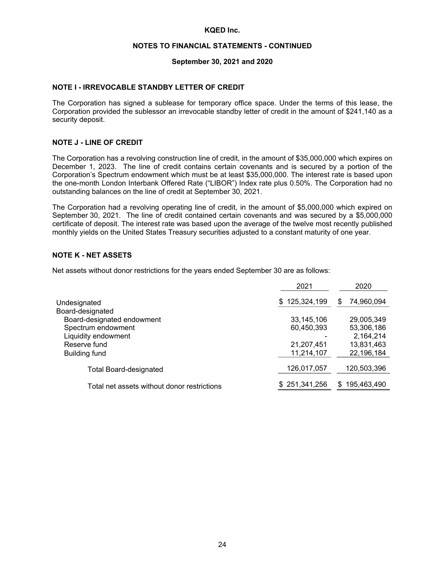#### **NOTES TO FINANCIAL STATEMENTS - CONTINUED**

#### **September 30, 2021 and 2020**

#### **NOTE I - IRREVOCABLE STANDBY LETTER OF CREDIT**

The Corporation has signed a sublease for temporary office space. Under the terms of this lease, the Corporation provided the sublessor an irrevocable standby letter of credit in the amount of \$241,140 as a security deposit.

#### **NOTE J - LINE OF CREDIT**

The Corporation has a revolving construction line of credit, in the amount of \$35,000,000 which expires on December 1, 2023. The line of credit contains certain covenants and is secured by a portion of the Corporation's Spectrum endowment which must be at least \$35,000,000. The interest rate is based upon the one-month London Interbank Offered Rate ("LIBOR") Index rate plus 0.50%. The Corporation had no outstanding balances on the line of credit at September 30, 2021.

The Corporation had a revolving operating line of credit, in the amount of \$5,000,000 which expired on September 30, 2021. The line of credit contained certain covenants and was secured by a \$5,000,000 certificate of deposit. The interest rate was based upon the average of the twelve most recently published monthly yields on the United States Treasury securities adjusted to a constant maturity of one year.

#### **NOTE K - NET ASSETS**

Net assets without donor restrictions for the years ended September 30 are as follows:

| 2021               | 2020              |
|--------------------|-------------------|
| 125,324,199<br>\$. | 74,960,094<br>S   |
|                    |                   |
| 33,145,106         | 29,005,349        |
| 60,450,393         | 53,306,186        |
|                    | 2,164,214         |
| 21,207,451         | 13,831,463        |
| 11,214,107         | 22,196,184        |
| 126,017,057        | 120,503,396       |
| \$251,341,256      | 195,463,490<br>S. |
|                    |                   |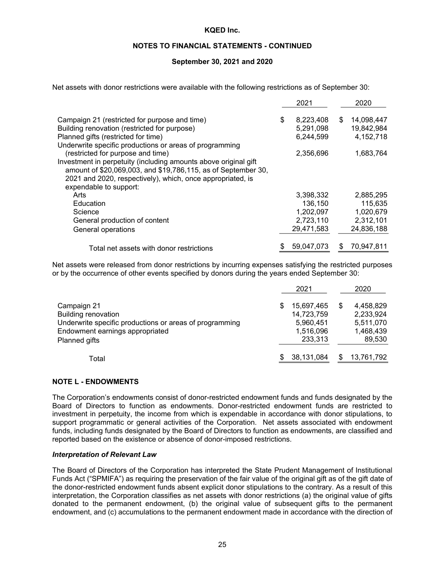#### **NOTES TO FINANCIAL STATEMENTS - CONTINUED**

#### **September 30, 2021 and 2020**

Net assets with donor restrictions were available with the following restrictions as of September 30:

|                                                                 | 2021            |    | 2020       |
|-----------------------------------------------------------------|-----------------|----|------------|
| Campaign 21 (restricted for purpose and time)                   | \$<br>8,223,408 | \$ | 14,098,447 |
| Building renovation (restricted for purpose)                    | 5,291,098       |    | 19,842,984 |
| Planned gifts (restricted for time)                             | 6,244,599       |    | 4,152,718  |
| Underwrite specific productions or areas of programming         |                 |    |            |
| (restricted for purpose and time)                               | 2,356,696       |    | 1,683,764  |
| Investment in perpetuity (including amounts above original gift |                 |    |            |
| amount of \$20,069,003, and \$19,786,115, as of September 30,   |                 |    |            |
| 2021 and 2020, respectively), which, once appropriated, is      |                 |    |            |
| expendable to support:                                          |                 |    |            |
| Arts                                                            | 3,398,332       |    | 2,885,295  |
| Education                                                       | 136.150         |    | 115,635    |
| Science                                                         | 1,202,097       |    | 1,020,679  |
| General production of content                                   | 2,723,110       |    | 2,312,101  |
| General operations                                              | 29,471,583      |    | 24,836,188 |
| Total net assets with donor restrictions                        | 59,047,073      | S  | 70,947,811 |

Net assets were released from donor restrictions by incurring expenses satisfying the restricted purposes or by the occurrence of other events specified by donors during the years ended September 30:

|                                                                                                                                         |   | 2021                                                          |   | 2020                                                       |
|-----------------------------------------------------------------------------------------------------------------------------------------|---|---------------------------------------------------------------|---|------------------------------------------------------------|
| Campaign 21<br><b>Building renovation</b><br>Underwrite specific productions or areas of programming<br>Endowment earnings appropriated | S | 15,697,465<br>14,723,759<br>5,960,451<br>1,516,096<br>233,313 | S | 4,458,829<br>2,233,924<br>5,511,070<br>1,468,439<br>89,530 |
| Planned gifts<br>Total                                                                                                                  |   | 38,131,084                                                    |   | 13,761,792                                                 |

#### **NOTE L - ENDOWMENTS**

The Corporation's endowments consist of donor-restricted endowment funds and funds designated by the Board of Directors to function as endowments. Donor-restricted endowment funds are restricted to investment in perpetuity, the income from which is expendable in accordance with donor stipulations, to support programmatic or general activities of the Corporation. Net assets associated with endowment funds, including funds designated by the Board of Directors to function as endowments, are classified and reported based on the existence or absence of donor-imposed restrictions.

#### *Interpretation of Relevant Law*

The Board of Directors of the Corporation has interpreted the State Prudent Management of Institutional Funds Act ("SPMIFA") as requiring the preservation of the fair value of the original gift as of the gift date of the donor-restricted endowment funds absent explicit donor stipulations to the contrary. As a result of this interpretation, the Corporation classifies as net assets with donor restrictions (a) the original value of gifts donated to the permanent endowment, (b) the original value of subsequent gifts to the permanent endowment, and (c) accumulations to the permanent endowment made in accordance with the direction of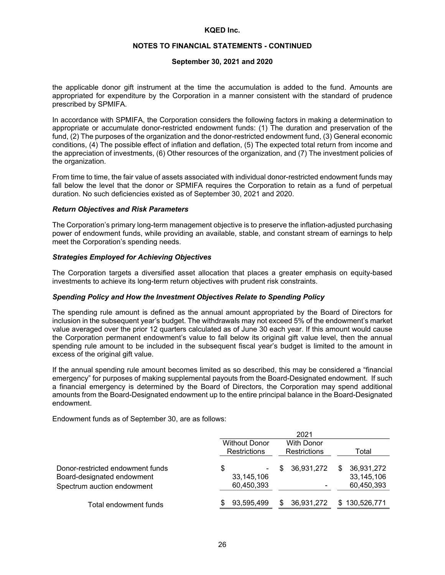#### **NOTES TO FINANCIAL STATEMENTS - CONTINUED**

#### **September 30, 2021 and 2020**

the applicable donor gift instrument at the time the accumulation is added to the fund. Amounts are appropriated for expenditure by the Corporation in a manner consistent with the standard of prudence prescribed by SPMIFA.

In accordance with SPMIFA, the Corporation considers the following factors in making a determination to appropriate or accumulate donor-restricted endowment funds: (1) The duration and preservation of the fund, (2) The purposes of the organization and the donor-restricted endowment fund, (3) General economic conditions, (4) The possible effect of inflation and deflation, (5) The expected total return from income and the appreciation of investments, (6) Other resources of the organization, and (7) The investment policies of the organization.

From time to time, the fair value of assets associated with individual donor-restricted endowment funds may fall below the level that the donor or SPMIFA requires the Corporation to retain as a fund of perpetual duration. No such deficiencies existed as of September 30, 2021 and 2020.

#### *Return Objectives and Risk Parameters*

The Corporation's primary long-term management objective is to preserve the inflation-adjusted purchasing power of endowment funds, while providing an available, stable, and constant stream of earnings to help meet the Corporation's spending needs.

#### *Strategies Employed for Achieving Objectives*

The Corporation targets a diversified asset allocation that places a greater emphasis on equity-based investments to achieve its long-term return objectives with prudent risk constraints.

#### *Spending Policy and How the Investment Objectives Relate to Spending Policy*

The spending rule amount is defined as the annual amount appropriated by the Board of Directors for inclusion in the subsequent year's budget. The withdrawals may not exceed 5% of the endowment's market value averaged over the prior 12 quarters calculated as of June 30 each year. If this amount would cause the Corporation permanent endowment's value to fall below its original gift value level, then the annual spending rule amount to be included in the subsequent fiscal year's budget is limited to the amount in excess of the original gift value.

If the annual spending rule amount becomes limited as so described, this may be considered a "financial emergency" for purposes of making supplemental payouts from the Board-Designated endowment. If such a financial emergency is determined by the Board of Directors, the Corporation may spend additional amounts from the Board-Designated endowment up to the entire principal balance in the Board-Designated endowment.

Endowment funds as of September 30, are as follows:

|                                                                                              |                                             | 2021                              |                                               |
|----------------------------------------------------------------------------------------------|---------------------------------------------|-----------------------------------|-----------------------------------------------|
|                                                                                              | <b>Without Donor</b><br><b>Restrictions</b> | <b>With Donor</b><br>Restrictions | Total                                         |
| Donor-restricted endowment funds<br>Board-designated endowment<br>Spectrum auction endowment | \$<br>٠<br>33,145,106<br>60,450,393         | 36,931,272<br>S                   | 36,931,272<br>\$.<br>33,145,106<br>60,450,393 |
| Total endowment funds                                                                        | 93,595,499                                  | 36,931,272<br>S                   | \$130,526,771                                 |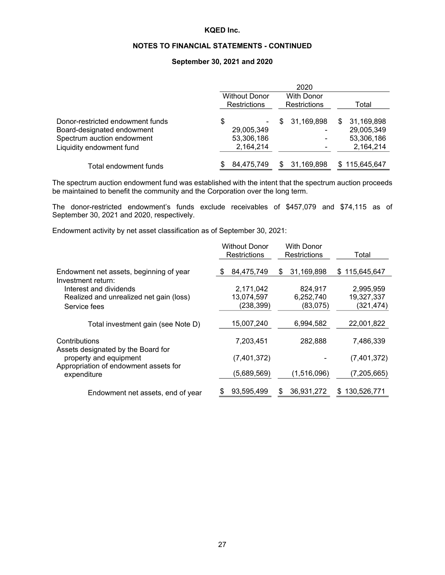# **NOTES TO FINANCIAL STATEMENTS - CONTINUED**

#### **September 30, 2021 and 2020**

|                                                                |                                      | 2020                              |                               |
|----------------------------------------------------------------|--------------------------------------|-----------------------------------|-------------------------------|
|                                                                | <b>Without Donor</b><br>Restrictions | <b>With Donor</b><br>Restrictions | Total                         |
| Donor-restricted endowment funds<br>Board-designated endowment | S<br>29,005,349                      | 31,169,898<br>S                   | 31,169,898<br>S<br>29,005,349 |
| Spectrum auction endowment<br>Liquidity endowment fund         | 53,306,186<br>2,164,214              | -                                 | 53,306,186<br>2,164,214       |
| Total endowment funds                                          | 84,475,749                           | 31,169,898                        | \$115,645,647                 |

The spectrum auction endowment fund was established with the intent that the spectrum auction proceeds be maintained to benefit the community and the Corporation over the long term.

The donor-restricted endowment's funds exclude receivables of \$457,079 and \$74,115 as of September 30, 2021 and 2020, respectively.

Endowment activity by net asset classification as of September 30, 2021:

|                                                                                                                                       | <b>Without Donor</b><br><b>Restrictions</b> | With Donor<br>Restrictions | Total                    |
|---------------------------------------------------------------------------------------------------------------------------------------|---------------------------------------------|----------------------------|--------------------------|
| Endowment net assets, beginning of year                                                                                               | 84,475,749<br>-S                            | 31,169,898<br>\$           | \$115,645,647            |
| Investment return:<br>Interest and dividends                                                                                          | 2,171,042                                   | 824,917                    | 2,995,959                |
| Realized and unrealized net gain (loss)<br>Service fees                                                                               | 13,074,597<br>(238, 399)                    | 6,252,740<br>(83,075)      | 19,327,337<br>(321, 474) |
| Total investment gain (see Note D)                                                                                                    | 15,007,240                                  | 6,994,582                  | 22,001,822               |
| Contributions<br>Assets designated by the Board for<br>property and equipment<br>Appropriation of endowment assets for<br>expenditure | 7,203,451                                   | 282,888                    | 7,486,339                |
|                                                                                                                                       | (7,401,372)                                 |                            | (7,401,372)              |
|                                                                                                                                       | (5,689,569)                                 | (1,516,096)                | (7, 205, 665)            |
| Endowment net assets, end of year                                                                                                     | 93,595,499                                  | 36,931,272<br>S            | 130,526,771<br>S         |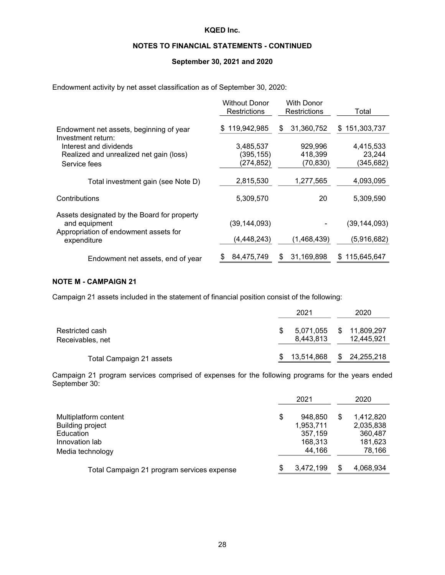# **NOTES TO FINANCIAL STATEMENTS - CONTINUED**

#### **September 30, 2021 and 2020**

Endowment activity by net asset classification as of September 30, 2020:

|                                                      | <b>Without Donor</b><br>Restrictions | With Donor<br><b>Restrictions</b> | Total              |
|------------------------------------------------------|--------------------------------------|-----------------------------------|--------------------|
| Endowment net assets, beginning of year              | 119,942,985<br>\$.                   | 31,360,752<br>S                   | 151,303,737<br>\$. |
| Investment return:                                   |                                      |                                   |                    |
| Interest and dividends                               | 3,485,537                            | 929,996                           | 4,415,533          |
| Realized and unrealized net gain (loss)              | (395,155)                            | 418,399                           | 23,244             |
| Service fees                                         | (274,852)                            | (70, 830)                         | (345, 682)         |
| Total investment gain (see Note D)                   | 2,815,530                            | 1,277,565                         | 4,093,095          |
| Contributions                                        | 5,309,570                            | 20                                | 5,309,590          |
| Assets designated by the Board for property          |                                      |                                   |                    |
| and equipment                                        | (39, 144, 093)                       |                                   | (39, 144, 093)     |
| Appropriation of endowment assets for<br>expenditure | (4, 448, 243)                        | (1,468,439)                       | (5,916,682)        |
| Endowment net assets, end of year                    | 84,475,749<br>\$                     | 31,169,898<br>S                   | \$115,645,647      |

# **NOTE M - CAMPAIGN 21**

Campaign 21 assets included in the statement of financial position consist of the following:

|                                     | 2021                   | 2020                       |
|-------------------------------------|------------------------|----------------------------|
| Restricted cash<br>Receivables, net | 5,071,055<br>8.443.813 | \$11,809,297<br>12.445.921 |
| Total Campaign 21 assets            | 13.514.868             | \$24,255,218               |

Campaign 21 program services comprised of expenses for the following programs for the years ended September 30:

|                                            | 2021            | 2020            |
|--------------------------------------------|-----------------|-----------------|
| Multiplatform content                      | \$<br>948.850   | \$<br>1,412,820 |
| Building project                           | 1,953,711       | 2,035,838       |
| Education                                  | 357,159         | 360,487         |
| Innovation lab                             | 168.313         | 181,623         |
| Media technology                           | 44,166          | 78,166          |
| Total Campaign 21 program services expense | \$<br>3,472,199 | 4,068,934       |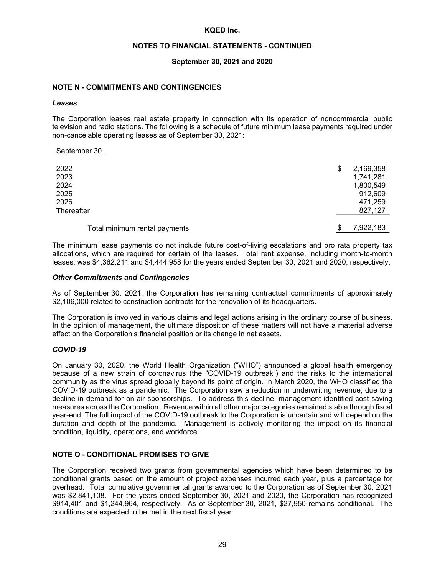#### **NOTES TO FINANCIAL STATEMENTS - CONTINUED**

#### **September 30, 2021 and 2020**

#### **NOTE N - COMMITMENTS AND CONTINGENCIES**

#### *Leases*

The Corporation leases real estate property in connection with its operation of noncommercial public television and radio stations. The following is a schedule of future minimum lease payments required under non-cancelable operating leases as of September 30, 2021:

September 30,

| 2022                          | \$<br>2,169,358 |
|-------------------------------|-----------------|
| 2023                          | 1,741,281       |
| 2024                          | 1,800,549       |
| 2025                          | 912,609         |
| 2026                          | 471,259         |
| Thereafter                    | 827,127         |
|                               |                 |
| Total minimum rental payments | 7,922,183       |

The minimum lease payments do not include future cost-of-living escalations and pro rata property tax allocations, which are required for certain of the leases. Total rent expense, including month-to-month leases, was \$4,362,211 and \$4,444,958 for the years ended September 30, 2021 and 2020, respectively.

#### *Other Commitments and Contingencies*

As of September 30, 2021, the Corporation has remaining contractual commitments of approximately \$2,106,000 related to construction contracts for the renovation of its headquarters.

The Corporation is involved in various claims and legal actions arising in the ordinary course of business. In the opinion of management, the ultimate disposition of these matters will not have a material adverse effect on the Corporation's financial position or its change in net assets.

#### *COVID-19*

On January 30, 2020, the World Health Organization ("WHO") announced a global health emergency because of a new strain of coronavirus (the "COVID-19 outbreak") and the risks to the international community as the virus spread globally beyond its point of origin. In March 2020, the WHO classified the COVID-19 outbreak as a pandemic. The Corporation saw a reduction in underwriting revenue, due to a decline in demand for on-air sponsorships. To address this decline, management identified cost saving measures across the Corporation. Revenue within all other major categories remained stable through fiscal year-end. The full impact of the COVID-19 outbreak to the Corporation is uncertain and will depend on the duration and depth of the pandemic. Management is actively monitoring the impact on its financial condition, liquidity, operations, and workforce.

## **NOTE O - CONDITIONAL PROMISES TO GIVE**

The Corporation received two grants from governmental agencies which have been determined to be conditional grants based on the amount of project expenses incurred each year, plus a percentage for overhead. Total cumulative governmental grants awarded to the Corporation as of September 30, 2021 was \$2,841,108. For the years ended September 30, 2021 and 2020, the Corporation has recognized \$914,401 and \$1,244,964, respectively. As of September 30, 2021, \$27,950 remains conditional. The conditions are expected to be met in the next fiscal year.